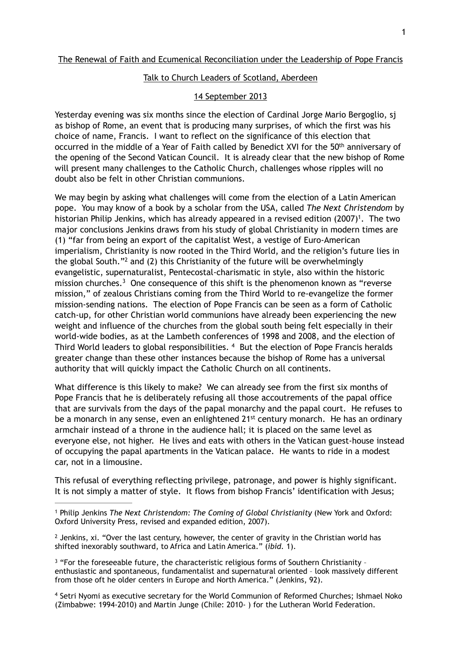# Talk to Church Leaders of Scotland, Aberdeen

# 14 September 2013

Yesterday evening was six months since the election of Cardinal Jorge Mario Bergoglio, sj as bishop of Rome, an event that is producing many surprises, of which the first was his choice of name, Francis. I want to reflect on the significance of this election that occurred in the middle of a Year of Faith called by Benedict XVI for the 50<sup>th</sup> anniversary of the opening of the Second Vatican Council. It is already clear that the new bishop of Rome will present many challenges to the Catholic Church, challenges whose ripples will no doubt also be felt in other Christian communions.

We may begin by asking what challenges will come from the election of a Latin American pope. You may know of a book by a scholar from the USA, called *The Next Christendom* by historian Philip Jenkins, which has already appeared in a revised edition (2007)<sup>1</sup>. The two major conclusions Jenkins draws from his study of global Christianity in modern times are (1) "far from being an export of the capitalist West, a vestige of Euro-American imperialism, Christianity is now rooted in the Third World, and the religion's future lies in the global South."<sup>2</sup> and (2) this Christianity of the future will be overwhelmingly evangelistic, supernaturalist, Pentecostal-charismatic in style, also within the historic mission churches.<sup>3</sup> One consequence of this shift is the phenomenon known as "reverse mission," of zealous Christians coming from the Third World to re-evangelize the former mission-sending nations. The election of Pope Francis can be seen as a form of Catholic catch-up, for other Christian world communions have already been experiencing the new weight and influence of the churches from the global south being felt especially in their world-wide bodies, as at the Lambeth conferences of 1998 and 2008, and the election of Third World leaders to global responsibilities.  $4$  But the election of Pope Francis heralds greater change than these other instances because the bishop of Rome has a universal authority that will quickly impact the Catholic Church on all continents.

What difference is this likely to make? We can already see from the first six months of Pope Francis that he is deliberately refusing all those accoutrements of the papal office that are survivals from the days of the papal monarchy and the papal court. He refuses to be a monarch in any sense, even an enlightened 21<sup>st</sup> century monarch. He has an ordinary armchair instead of a throne in the audience hall; it is placed on the same level as everyone else, not higher. He lives and eats with others in the Vatican guest-house instead of occupying the papal apartments in the Vatican palace. He wants to ride in a modest car, not in a limousine.

This refusal of everything reflecting privilege, patronage, and power is highly significant. It is not simply a matter of style. It flows from bishop Francis' identification with Jesus;

<sup>4</sup> Setri Nyomi as executive secretary for the World Communion of Reformed Churches; Ishmael Noko (Zimbabwe: 1994-2010) and Martin Junge (Chile: 2010- ) for the Lutheran World Federation.

<sup>&</sup>lt;sup>1</sup> Philip Jenkins *The Next Christendom: The Coming of Global Christianity* (New York and Oxford: Oxford University Press, revised and expanded edition, 2007).

 $<sup>2</sup>$  Jenkins, xi. "Over the last century, however, the center of gravity in the Christian world has</sup> shifted inexorably southward, to Africa and Latin America." (*ibid.* 1).

 $3$  "For the foreseeable future, the characteristic religious forms of Southern Christianity enthusiastic and spontaneous, fundamentalist and supernatural oriented – look massively different from those oft he older centers in Europe and North America." (Jenkins, 92).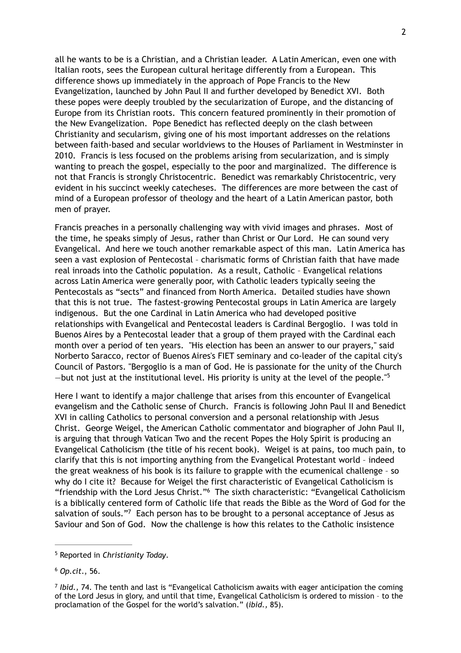all he wants to be is a Christian, and a Christian leader. A Latin American, even one with Italian roots, sees the European cultural heritage differently from a European. This difference shows up immediately in the approach of Pope Francis to the New Evangelization, launched by John Paul II and further developed by Benedict XVI. Both these popes were deeply troubled by the secularization of Europe, and the distancing of Europe from its Christian roots. This concern featured prominently in their promotion of the New Evangelization. Pope Benedict has reflected deeply on the clash between Christianity and secularism, giving one of his most important addresses on the relations between faith-based and secular worldviews to the Houses of Parliament in Westminster in 2010. Francis is less focused on the problems arising from secularization, and is simply wanting to preach the gospel, especially to the poor and marginalized. The difference is not that Francis is strongly Christocentric. Benedict was remarkably Christocentric, very evident in his succinct weekly catecheses. The differences are more between the cast of mind of a European professor of theology and the heart of a Latin American pastor, both men of prayer.

Francis preaches in a personally challenging way with vivid images and phrases. Most of the time, he speaks simply of Jesus, rather than Christ or Our Lord. He can sound very Evangelical. And here we touch another remarkable aspect of this man. Latin America has seen a vast explosion of Pentecostal – charismatic forms of Christian faith that have made real inroads into the Catholic population. As a result, Catholic – Evangelical relations across Latin America were generally poor, with Catholic leaders typically seeing the Pentecostals as "sects" and financed from North America. Detailed studies have shown that this is not true. The fastest-growing Pentecostal groups in Latin America are largely indigenous. But the one Cardinal in Latin America who had developed positive relationships with Evangelical and Pentecostal leaders is Cardinal Bergoglio. I was told in Buenos Aires by a Pentecostal leader that a group of them prayed with the Cardinal each month over a period of ten years. "His election has been an answer to our prayers," said Norberto Saracco, rector of Buenos Aires's FIET seminary and co-leader of the capital city's Council of Pastors. "Bergoglio is a man of God. He is passionate for the unity of the Church -but not just at the institutional level. His priority is unity at the level of the people." $5$ 

Here I want to identify a major challenge that arises from this encounter of Evangelical evangelism and the Catholic sense of Church. Francis is following John Paul II and Benedict XVI in calling Catholics to personal conversion and a personal relationship with Jesus Christ. George Weigel, the American Catholic commentator and biographer of John Paul II, is arguing that through Vatican Two and the recent Popes the Holy Spirit is producing an Evangelical Catholicism (the title of his recent book). Weigel is at pains, too much pain, to clarify that this is not importing anything from the Evangelical Protestant world – indeed the great weakness of his book is its failure to grapple with the ecumenical challenge – so why do I cite it? Because for Weigel the first characteristic of Evangelical Catholicism is "friendship with the Lord Jesus Christ."<sup>6</sup> The sixth characteristic: "Evangelical Catholicism is a biblically centered form of Catholic life that reads the Bible as the Word of God for the salvation of souls."<sup>7</sup> Each person has to be brought to a personal acceptance of Jesus as Saviour and Son of God. Now the challenge is how this relates to the Catholic insistence

<sup>&</sup>lt;sup>5</sup> Reported in *Christianity Today*.

*Op.cit*., 56. 6

*Ibid.,* 74. The tenth and last is "Evangelical Catholicism awaits with eager anticipation the coming of the Lord Jesus in glory, and until that time, Evangelical Catholicism is ordered to mission – to the proclamation of the Gospel for the world's salvation." (*ibid.,* 85).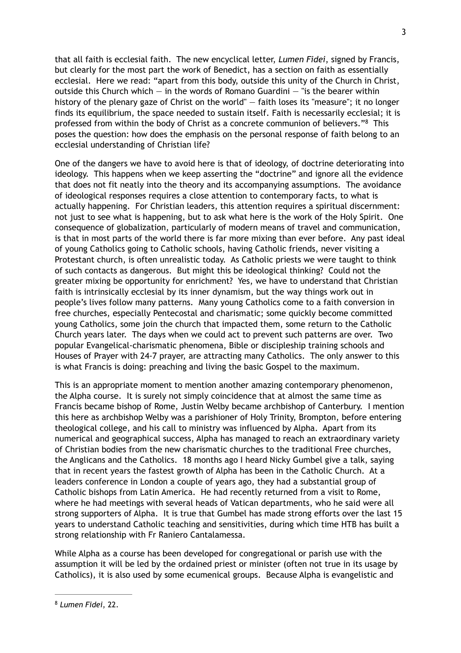that all faith is ecclesial faith. The new encyclical letter, *Lumen Fidei*, signed by Francis, but clearly for the most part the work of Benedict, has a section on faith as essentially ecclesial. Here we read: "apart from this body, outside this unity of the Church in Christ, outside this Church which  $-$  in the words of Romano Guardini  $-$  "is the bearer within history of the plenary gaze of Christ on the world" — faith loses its "measure"; it no longer finds its equilibrium, the space needed to sustain itself. Faith is necessarily ecclesial; it is professed from within the body of Christ as a concrete communion of believers."<sup>8</sup> This poses the question: how does the emphasis on the personal response of faith belong to an ecclesial understanding of Christian life?

One of the dangers we have to avoid here is that of ideology, of doctrine deteriorating into ideology. This happens when we keep asserting the "doctrine" and ignore all the evidence that does not fit neatly into the theory and its accompanying assumptions. The avoidance of ideological responses requires a close attention to contemporary facts, to what is actually happening. For Christian leaders, this attention requires a spiritual discernment: not just to see what is happening, but to ask what here is the work of the Holy Spirit. One consequence of globalization, particularly of modern means of travel and communication, is that in most parts of the world there is far more mixing than ever before. Any past ideal of young Catholics going to Catholic schools, having Catholic friends, never visiting a Protestant church, is often unrealistic today. As Catholic priests we were taught to think of such contacts as dangerous. But might this be ideological thinking? Could not the greater mixing be opportunity for enrichment? Yes, we have to understand that Christian faith is intrinsically ecclesial by its inner dynamism, but the way things work out in people's lives follow many patterns. Many young Catholics come to a faith conversion in free churches, especially Pentecostal and charismatic; some quickly become committed young Catholics, some join the church that impacted them, some return to the Catholic Church years later. The days when we could act to prevent such patterns are over. Two popular Evangelical-charismatic phenomena, Bible or discipleship training schools and Houses of Prayer with 24-7 prayer, are attracting many Catholics. The only answer to this is what Francis is doing: preaching and living the basic Gospel to the maximum.

This is an appropriate moment to mention another amazing contemporary phenomenon, the Alpha course. It is surely not simply coincidence that at almost the same time as Francis became bishop of Rome, Justin Welby became archbishop of Canterbury. I mention this here as archbishop Welby was a parishioner of Holy Trinity, Brompton, before entering theological college, and his call to ministry was influenced by Alpha. Apart from its numerical and geographical success, Alpha has managed to reach an extraordinary variety of Christian bodies from the new charismatic churches to the traditional Free churches, the Anglicans and the Catholics. 18 months ago I heard Nicky Gumbel give a talk, saying that in recent years the fastest growth of Alpha has been in the Catholic Church. At a leaders conference in London a couple of years ago, they had a substantial group of Catholic bishops from Latin America. He had recently returned from a visit to Rome, where he had meetings with several heads of Vatican departments, who he said were all strong supporters of Alpha. It is true that Gumbel has made strong efforts over the last 15 years to understand Catholic teaching and sensitivities, during which time HTB has built a strong relationship with Fr Raniero Cantalamessa.

While Alpha as a course has been developed for congregational or parish use with the assumption it will be led by the ordained priest or minister (often not true in its usage by Catholics), it is also used by some ecumenical groups. Because Alpha is evangelistic and

<sup>&</sup>lt;sup>8</sup> Lumen Fidei, 22.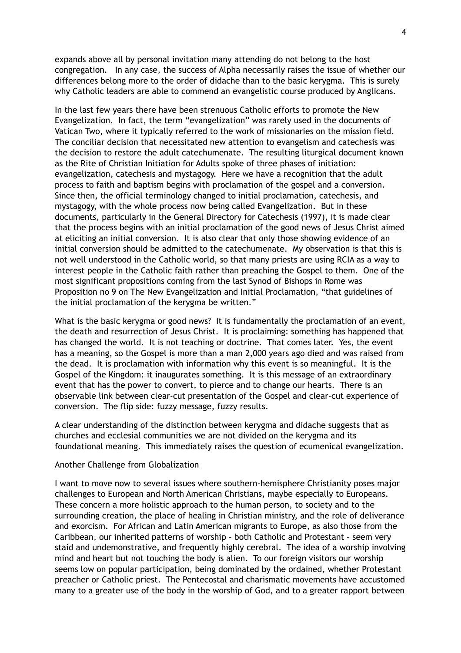expands above all by personal invitation many attending do not belong to the host congregation. In any case, the success of Alpha necessarily raises the issue of whether our differences belong more to the order of didache than to the basic kerygma. This is surely why Catholic leaders are able to commend an evangelistic course produced by Anglicans.

In the last few years there have been strenuous Catholic efforts to promote the New Evangelization. In fact, the term "evangelization" was rarely used in the documents of Vatican Two, where it typically referred to the work of missionaries on the mission field. The conciliar decision that necessitated new attention to evangelism and catechesis was the decision to restore the adult catechumenate. The resulting liturgical document known as the Rite of Christian Initiation for Adults spoke of three phases of initiation: evangelization, catechesis and mystagogy. Here we have a recognition that the adult process to faith and baptism begins with proclamation of the gospel and a conversion. Since then, the official terminology changed to initial proclamation, catechesis, and mystagogy, with the whole process now being called Evangelization. But in these documents, particularly in the General Directory for Catechesis (1997), it is made clear that the process begins with an initial proclamation of the good news of Jesus Christ aimed at eliciting an initial conversion. It is also clear that only those showing evidence of an initial conversion should be admitted to the catechumenate. My observation is that this is not well understood in the Catholic world, so that many priests are using RCIA as a way to interest people in the Catholic faith rather than preaching the Gospel to them. One of the most significant propositions coming from the last Synod of Bishops in Rome was Proposition no 9 on The New Evangelization and Initial Proclamation, "that guidelines of the initial proclamation of the kerygma be written."

What is the basic kerygma or good news? It is fundamentally the proclamation of an event, the death and resurrection of Jesus Christ. It is proclaiming: something has happened that has changed the world. It is not teaching or doctrine. That comes later. Yes, the event has a meaning, so the Gospel is more than a man 2,000 years ago died and was raised from the dead. It is proclamation with information why this event is so meaningful. It is the Gospel of the Kingdom: it inaugurates something. It is this message of an extraordinary event that has the power to convert, to pierce and to change our hearts. There is an observable link between clear-cut presentation of the Gospel and clear-cut experience of conversion. The flip side: fuzzy message, fuzzy results.

A clear understanding of the distinction between kerygma and didache suggests that as churches and ecclesial communities we are not divided on the kerygma and its foundational meaning. This immediately raises the question of ecumenical evangelization.

#### Another Challenge from Globalization

I want to move now to several issues where southern-hemisphere Christianity poses major challenges to European and North American Christians, maybe especially to Europeans. These concern a more holistic approach to the human person, to society and to the surrounding creation, the place of healing in Christian ministry, and the role of deliverance and exorcism. For African and Latin American migrants to Europe, as also those from the Caribbean, our inherited patterns of worship – both Catholic and Protestant – seem very staid and undemonstrative, and frequently highly cerebral. The idea of a worship involving mind and heart but not touching the body is alien. To our foreign visitors our worship seems low on popular participation, being dominated by the ordained, whether Protestant preacher or Catholic priest. The Pentecostal and charismatic movements have accustomed many to a greater use of the body in the worship of God, and to a greater rapport between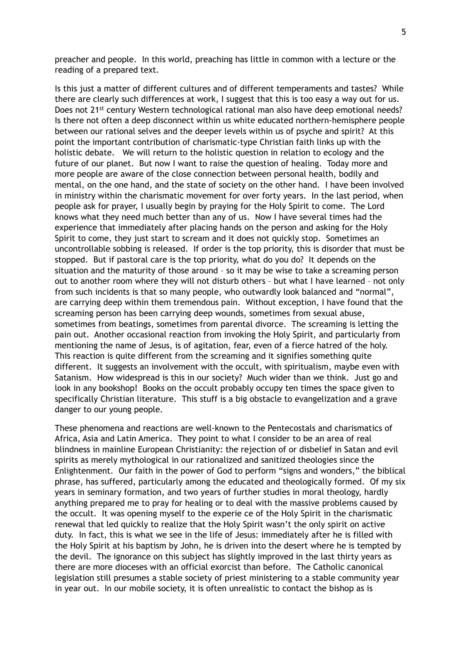preacher and people. In this world, preaching has little in common with a lecture or the reading of a prepared text.

Is this just a matter of different cultures and of different temperaments and tastes? While there are clearly such differences at work, I suggest that this is too easy a way out for us. Does not 21<sup>st</sup> century Western technological rational man also have deep emotional needs? Is there not often a deep disconnect within us white educated northern-hemisphere people between our rational selves and the deeper levels within us of psyche and spirit? At this point the important contribution of charismatic-type Christian faith links up with the holistic debate. We will return to the holistic question in relation to ecology and the future of our planet. But now I want to raise the question of healing. Today more and more people are aware of the close connection between personal health, bodily and mental, on the one hand, and the state of society on the other hand. I have been involved in ministry within the charismatic movement for over forty years. In the last period, when people ask for prayer, I usually begin by praying for the Holy Spirit to come. The Lord knows what they need much better than any of us. Now I have several times had the experience that immediately after placing hands on the person and asking for the Holy Spirit to come, they just start to scream and it does not quickly stop. Sometimes an uncontrollable sobbing is released. If order is the top priority, this is disorder that must be stopped. But if pastoral care is the top priority, what do you do? It depends on the situation and the maturity of those around – so it may be wise to take a screaming person out to another room where they will not disturb others – but what I have learned – not only from such incidents is that so many people, who outwardly look balanced and "normal", are carrying deep within them tremendous pain. Without exception, I have found that the screaming person has been carrying deep wounds, sometimes from sexual abuse, sometimes from beatings, sometimes from parental divorce. The screaming is letting the pain out. Another occasional reaction from invoking the Holy Spirit, and particularly from mentioning the name of Jesus, is of agitation, fear, even of a fierce hatred of the holy. This reaction is quite different from the screaming and it signifies something quite different. It suggests an involvement with the occult, with spiritualism, maybe even with Satanism. How widespread is this in our society? Much wider than we think. Just go and look in any bookshop! Books on the occult probably occupy ten times the space given to specifically Christian literature. This stuff is a big obstacle to evangelization and a grave danger to our young people.

These phenomena and reactions are well-known to the Pentecostals and charismatics of Africa, Asia and Latin America. They point to what I consider to be an area of real blindness in mainline European Christianity: the rejection of or disbelief in Satan and evil spirits as merely mythological in our rationalized and sanitized theologies since the Enlightenment. Our faith in the power of God to perform "signs and wonders," the biblical phrase, has suffered, particularly among the educated and theologically formed. Of my six years in seminary formation, and two years of further studies in moral theology, hardly anything prepared me to pray for healing or to deal with the massive problems caused by the occult. It was opening myself to the experie ce of the Holy Spirit in the charismatic renewal that led quickly to realize that the Holy Spirit wasn't the only spirit on active duty. In fact, this is what we see in the life of Jesus: immediately after he is filled with the Holy Spirit at his baptism by John, he is driven into the desert where he is tempted by the devil. The ignorance on this subject has slightly improved in the last thirty years as there are more dioceses with an official exorcist than before. The Catholic canonical legislation still presumes a stable society of priest ministering to a stable community year in year out. In our mobile society, it is often unrealistic to contact the bishop as is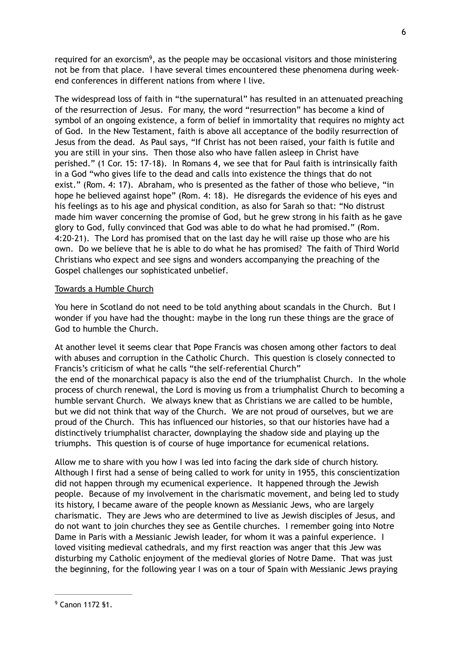required for an exorcism<sup>9</sup>, as the people may be occasional visitors and those ministering not be from that place. I have several times encountered these phenomena during weekend conferences in different nations from where I live.

The widespread loss of faith in "the supernatural" has resulted in an attenuated preaching of the resurrection of Jesus. For many, the word "resurrection" has become a kind of symbol of an ongoing existence, a form of belief in immortality that requires no mighty act of God. In the New Testament, faith is above all acceptance of the bodily resurrection of Jesus from the dead. As Paul says, "If Christ has not been raised, your faith is futile and you are still in your sins. Then those also who have fallen asleep in Christ have perished." (1 Cor. 15: 17-18). In Romans 4, we see that for Paul faith is intrinsically faith in a God "who gives life to the dead and calls into existence the things that do not exist." (Rom. 4: 17). Abraham, who is presented as the father of those who believe, "in hope he believed against hope" (Rom. 4: 18). He disregards the evidence of his eyes and his feelings as to his age and physical condition, as also for Sarah so that: "No distrust made him waver concerning the promise of God, but he grew strong in his faith as he gave glory to God, fully convinced that God was able to do what he had promised." (Rom. 4:20-21). The Lord has promised that on the last day he will raise up those who are his own. Do we believe that he is able to do what he has promised? The faith of Third World Christians who expect and see signs and wonders accompanying the preaching of the Gospel challenges our sophisticated unbelief.

### Towards a Humble Church

You here in Scotland do not need to be told anything about scandals in the Church. But I wonder if you have had the thought: maybe in the long run these things are the grace of God to humble the Church.

At another level it seems clear that Pope Francis was chosen among other factors to deal with abuses and corruption in the Catholic Church. This question is closely connected to Francis's criticism of what he calls "the self-referential Church" the end of the monarchical papacy is also the end of the triumphalist Church. In the whole process of church renewal, the Lord is moving us from a triumphalist Church to becoming a humble servant Church. We always knew that as Christians we are called to be humble, but we did not think that way of the Church. We are not proud of ourselves, but we are proud of the Church. This has influenced our histories, so that our histories have had a distinctively triumphalist character, downplaying the shadow side and playing up the triumphs. This question is of course of huge importance for ecumenical relations.

Allow me to share with you how I was led into facing the dark side of church history. Although I first had a sense of being called to work for unity in 1955, this conscientization did not happen through my ecumenical experience. It happened through the Jewish people. Because of my involvement in the charismatic movement, and being led to study its history, I became aware of the people known as Messianic Jews, who are largely charismatic. They are Jews who are determined to live as Jewish disciples of Jesus, and do not want to join churches they see as Gentile churches. I remember going into Notre Dame in Paris with a Messianic Jewish leader, for whom it was a painful experience. I loved visiting medieval cathedrals, and my first reaction was anger that this Jew was disturbing my Catholic enjoyment of the medieval glories of Notre Dame. That was just the beginning, for the following year I was on a tour of Spain with Messianic Jews praying

 $9$  Canon 1172 §1.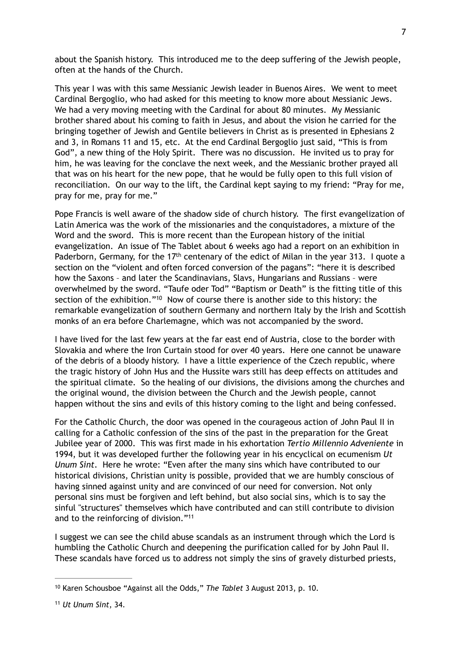about the Spanish history. This introduced me to the deep suffering of the Jewish people, often at the hands of the Church.

This year I was with this same Messianic Jewish leader in Buenos Aires. We went to meet Cardinal Bergoglio, who had asked for this meeting to know more about Messianic Jews. We had a very moving meeting with the Cardinal for about 80 minutes. My Messianic brother shared about his coming to faith in Jesus, and about the vision he carried for the bringing together of Jewish and Gentile believers in Christ as is presented in Ephesians 2 and 3, in Romans 11 and 15, etc. At the end Cardinal Bergoglio just said, "This is from God", a new thing of the Holy Spirit. There was no discussion. He invited us to pray for him, he was leaving for the conclave the next week, and the Messianic brother prayed all that was on his heart for the new pope, that he would be fully open to this full vision of reconciliation. On our way to the lift, the Cardinal kept saying to my friend: "Pray for me, pray for me, pray for me."

Pope Francis is well aware of the shadow side of church history. The first evangelization of Latin America was the work of the missionaries and the conquistadores, a mixture of the Word and the sword. This is more recent than the European history of the initial evangelization. An issue of The Tablet about 6 weeks ago had a report on an exhibition in Paderborn, Germany, for the 17<sup>th</sup> centenary of the edict of Milan in the year 313. I quote a section on the "violent and often forced conversion of the pagans": "here it is described how the Saxons – and later the Scandinavians, Slavs, Hungarians and Russians – were overwhelmed by the sword. "Taufe oder Tod" "Baptism or Death" is the fitting title of this section of the exhibition."<sup>10</sup> Now of course there is another side to this history: the remarkable evangelization of southern Germany and northern Italy by the Irish and Scottish monks of an era before Charlemagne, which was not accompanied by the sword.

I have lived for the last few years at the far east end of Austria, close to the border with Slovakia and where the Iron Curtain stood for over 40 years. Here one cannot be unaware of the debris of a bloody history. I have a little experience of the Czech republic, where the tragic history of John Hus and the Hussite wars still has deep effects on attitudes and the spiritual climate. So the healing of our divisions, the divisions among the churches and the original wound, the division between the Church and the Jewish people, cannot happen without the sins and evils of this history coming to the light and being confessed.

For the Catholic Church, the door was opened in the courageous action of John Paul II in calling for a Catholic confession of the sins of the past in the preparation for the Great Jubilee year of 2000. This was first made in his exhortation *Tertio Millennio Adveniente* in 1994, but it was developed further the following year in his encyclical on ecumenism *Ut Unum Sint*. Here he wrote: "Even after the many sins which have contributed to our historical divisions, Christian unity is possible, provided that we are humbly conscious of having sinned against unity and are convinced of our need for conversion. Not only personal sins must be forgiven and left behind, but also social sins, which is to say the sinful "structures" themselves which have contributed and can still contribute to division and to the reinforcing of division."11

I suggest we can see the child abuse scandals as an instrument through which the Lord is humbling the Catholic Church and deepening the purification called for by John Paul II. These scandals have forced us to address not simply the sins of gravely disturbed priests,

<sup>&</sup>lt;sup>10</sup> Karen Schousboe "Against all the Odds," The Tablet 3 August 2013, p. 10.

*Ut Unum Sint*, 34. <sup>11</sup>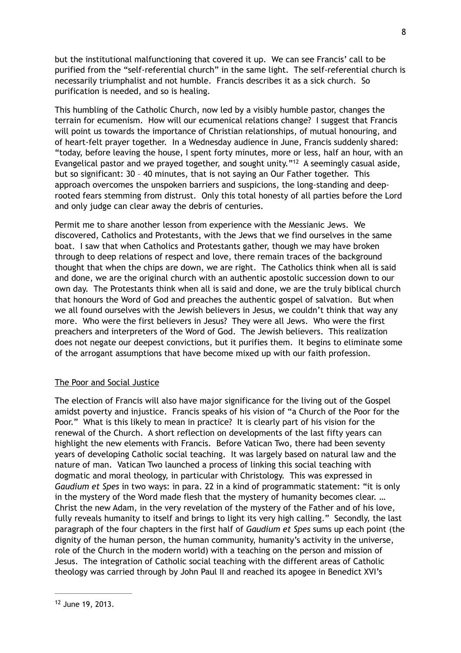but the institutional malfunctioning that covered it up. We can see Francis' call to be purified from the "self-referential church" in the same light. The self-referential church is necessarily triumphalist and not humble. Francis describes it as a sick church. So purification is needed, and so is healing.

This humbling of the Catholic Church, now led by a visibly humble pastor, changes the terrain for ecumenism. How will our ecumenical relations change? I suggest that Francis will point us towards the importance of Christian relationships, of mutual honouring, and of heart-felt prayer together. In a Wednesday audience in June, Francis suddenly shared: "today, before leaving the house, I spent forty minutes, more or less, half an hour, with an Evangelical pastor and we prayed together, and sought unity."<sup>12</sup> A seemingly casual aside, but so significant: 30 – 40 minutes, that is not saying an Our Father together. This approach overcomes the unspoken barriers and suspicions, the long-standing and deeprooted fears stemming from distrust. Only this total honesty of all parties before the Lord and only judge can clear away the debris of centuries.

Permit me to share another lesson from experience with the Messianic Jews. We discovered, Catholics and Protestants, with the Jews that we find ourselves in the same boat. I saw that when Catholics and Protestants gather, though we may have broken through to deep relations of respect and love, there remain traces of the background thought that when the chips are down, we are right. The Catholics think when all is said and done, we are the original church with an authentic apostolic succession down to our own day. The Protestants think when all is said and done, we are the truly biblical church that honours the Word of God and preaches the authentic gospel of salvation. But when we all found ourselves with the Jewish believers in Jesus, we couldn't think that way any more. Who were the first believers in Jesus? They were all Jews. Who were the first preachers and interpreters of the Word of God. The Jewish believers. This realization does not negate our deepest convictions, but it purifies them. It begins to eliminate some of the arrogant assumptions that have become mixed up with our faith profession.

# The Poor and Social Justice

The election of Francis will also have major significance for the living out of the Gospel amidst poverty and injustice. Francis speaks of his vision of "a Church of the Poor for the Poor." What is this likely to mean in practice? It is clearly part of his vision for the renewal of the Church. A short reflection on developments of the last fifty years can highlight the new elements with Francis. Before Vatican Two, there had been seventy years of developing Catholic social teaching. It was largely based on natural law and the nature of man. Vatican Two launched a process of linking this social teaching with dogmatic and moral theology, in particular with Christology. This was expressed in *Gaudium et Spes* in two ways: in para. 22 in a kind of programmatic statement: "it is only in the mystery of the Word made flesh that the mystery of humanity becomes clear. … Christ the new Adam, in the very revelation of the mystery of the Father and of his love, fully reveals humanity to itself and brings to light its very high calling." Secondly, the last paragraph of the four chapters in the first half of *Gaudium et Spes* sums up each point (the dignity of the human person, the human community, humanity's activity in the universe, role of the Church in the modern world) with a teaching on the person and mission of Jesus. The integration of Catholic social teaching with the different areas of Catholic theology was carried through by John Paul II and reached its apogee in Benedict XVI's

 $12$  June 19, 2013.